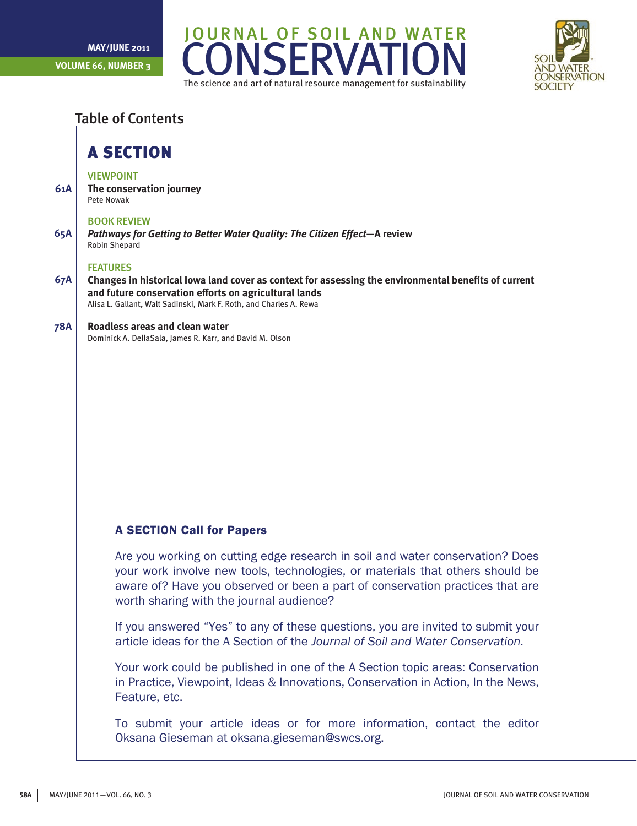



### Table of Contents

### A Section

### **VIEWPOINT**

**61A The conservation journey** Pete Nowak

### Book review

**65A** *Pathways for Getting to Better Water Quality: The Citizen Effect***—A review** Robin Shepard

### **FEATURES**

**67A Changes in historical Iowa land cover as context for assessing the environmental benefits of current and future conservation efforts on agricultural lands** Alisa L. Gallant, Walt Sadinski, Mark F. Roth, and Charles A. Rewa

#### **78A Roadless areas and clean water**

Dominick A. DellaSala, James R. Karr, and David M. Olson

### A SECTION Call for Papers

Are you working on cutting edge research in soil and water conservation? Does your work involve new tools, technologies, or materials that others should be aware of? Have you observed or been a part of conservation practices that are worth sharing with the journal audience?

If you answered "Yes" to any of these questions, you are invited to submit your article ideas for the A Section of the *Journal of Soil and Water Conservation.*

Your work could be published in one of the A Section topic areas: Conservation in Practice, Viewpoint, Ideas & Innovations, Conservation in Action, In the News, Feature, etc.

To submit your article ideas or for more information, contact the editor Oksana Gieseman at oksana.gieseman@swcs.org.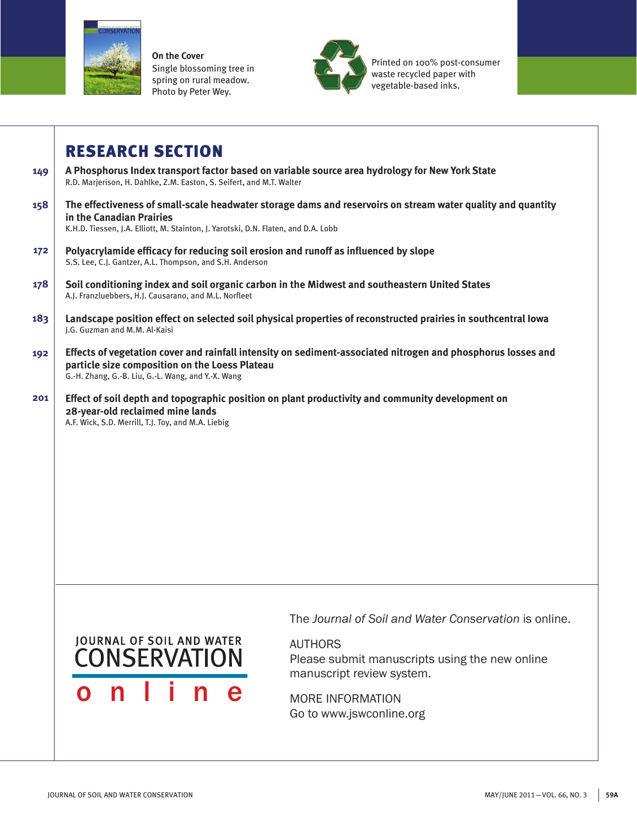

**On the Cover** Single blossoming tree in spring on rural meadow. Photo by Peter Wey.



Printed on 100% post-consumer waste recycled paper with vegetable-based inks.

## Research Section

- **149 A Phosphorus Index transport factor based on variable source area hydrology for New York State** R.D. Marjerison, H. Dahlke, Z.M. Easton, S. Seifert, and M.T. Walter
- **158 The effectiveness of small-scale headwater storage dams and reservoirs on stream water quality and quantity in the Canadian Prairies**

K.H.D. Tiessen, J.A. Elliott, M. Stainton, J. Yarotski, D.N. Flaten, and D.A. Lobb

- **172 Polyacrylamide efficacy for reducing soil erosion and runoff as influenced by slope** S.S. Lee, C.J. Gantzer, A.L. Thompson, and S.H. Anderson
- **178 Soil conditioning index and soil organic carbon in the Midwest and southeastern United States** A.J. Franzluebbers, H.J. Causarano, and M.L. Norfleet
- **183 Landscape position effect on selected soil physical properties of reconstructed prairies in southcentral Iowa** J.G. Guzman and M.M. Al-Kaisi
- **192 Effects of vegetation cover and rainfall intensity on sediment-associated nitrogen and phosphorus losses and particle size composition on the Loess Plateau** G.-H. Zhang, G.-B. Liu, G.-L. Wang, and Y.-X. Wang
- **201 Effect of soil depth and topographic position on plant productivity and community development on 28-year-old reclaimed mine lands** A.F. Wick, S.D. Merrill, T.J. Toy, and M.A. Liebig

# **JOURNAL OF SOIL AND WATER** CONSERVATION o n l i n e

The *Journal of Soil and Water Conservation* is online.

AUTHORS

Please submit manuscripts using the new online manuscript review system.

MORE INFORMATION Go to www.jswconline.org